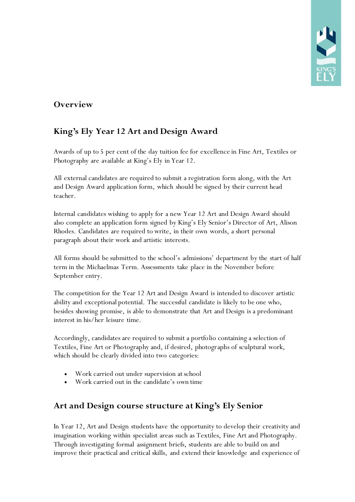### **Overview**

## **King's Ely Year 12 Art and Design Award**

Awards of up to 5 per cent of the day tuition fee for excellence in Fine Art, Textiles or Photography are available at King's Ely in Year 12.

All external candidates are required to submit a registration form along, with the Art and Design Award application form, which should be signed by their current head teacher.

Internal candidates wishing to apply for a new Year 12 Art and Design Award should also complete an application form signed by King's Ely Senior's Director of Art, Alison Rhodes. Candidates are required to write, in their own words, a short personal paragraph about their work and artistic interests.

All forms should be submitted to the school's admissions' department by the start of half term in the Michaelmas Term. Assessments take place in the November before September entry.

The competition for the Year 12 Art and Design Award is intended to discover artistic ability and exceptional potential. The successful candidate is likely to be one who, besides showing promise, is able to demonstrate that Art and Design is a predominant interest in his/her leisure time.

Accordingly, candidates are required to submit a portfolio containing a selection of Textiles, Fine Art or Photography and, if desired, photographs of sculptural work, which should be clearly divided into two categories:

- Work carried out under supervision at school
- Work carried out in the candidate's own time

#### **Art and Design course structure at King's Ely Senior**

In Year 12, Art and Design students have the opportunity to develop their creativity and imagination working within specialist areas such as Textiles, Fine Art and Photography. Through investigating formal assignment briefs, students are able to build on and improve their practical and critical skills, and extend their knowledge and experience of